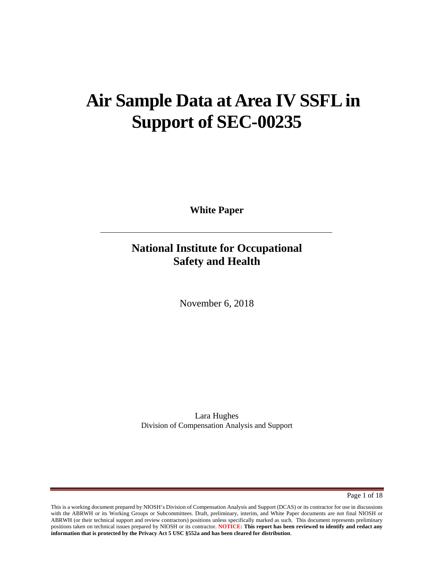# **Air Sample Data at Area IV SSFL in Support of SEC-00235**

**White Paper**

# **National Institute for Occupational Safety and Health**

November 6, 2018

Lara Hughes Division of Compensation Analysis and Support

Page 1 of 18

This is a working document prepared by NIOSH's Division of Compensation Analysis and Support (DCAS) or its contractor for use in discussions with the ABRWH or its Working Groups or Subcommittees. Draft, preliminary, interim, and White Paper documents are not final NIOSH or ABRWH (or their technical support and review contractors) positions unless specifically marked as such. This document represents preliminary positions taken on technical issues prepared by NIOSH or its contractor. **NOTICE: This report has been reviewed to identify and redact any information that is protected by the Privacy Act 5 USC §552a and has been cleared for distribution**.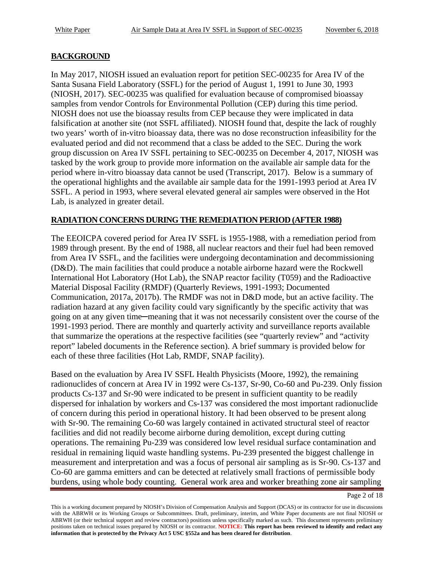### **BACKGROUND**

In May 2017, NIOSH issued an evaluation report for petition SEC-00235 for Area IV of the Santa Susana Field Laboratory (SSFL) for the period of August 1, 1991 to June 30, 1993 (NIOSH, 2017). SEC-00235 was qualified for evaluation because of compromised bioassay samples from vendor Controls for Environmental Pollution (CEP) during this time period. NIOSH does not use the bioassay results from CEP because they were implicated in data falsification at another site (not SSFL affiliated). NIOSH found that, despite the lack of roughly two years' worth of in-vitro bioassay data, there was no dose reconstruction infeasibility for the evaluated period and did not recommend that a class be added to the SEC. During the work group discussion on Area IV SSFL pertaining to SEC-00235 on December 4, 2017, NIOSH was tasked by the work group to provide more information on the available air sample data for the period where in-vitro bioassay data cannot be used (Transcript, 2017). Below is a summary of the operational highlights and the available air sample data for the 1991-1993 period at Area IV SSFL. A period in 1993, where several elevated general air samples were observed in the Hot Lab, is analyzed in greater detail.

#### **RADIATION CONCERNS DURING THE REMEDIATION PERIOD (AFTER 1988)**

The EEOICPA covered period for Area IV SSFL is 1955-1988, with a remediation period from 1989 through present. By the end of 1988, all nuclear reactors and their fuel had been removed from Area IV SSFL, and the facilities were undergoing decontamination and decommissioning (D&D). The main facilities that could produce a notable airborne hazard were the Rockwell International Hot Laboratory (Hot Lab), the SNAP reactor facility (T059) and the Radioactive Material Disposal Facility (RMDF) (Quarterly Reviews, 1991-1993; Documented Communication, 2017a, 2017b). The RMDF was not in D&D mode, but an active facility. The radiation hazard at any given facility could vary significantly by the specific activity that was going on at any given time─meaning that it was not necessarily consistent over the course of the 1991-1993 period. There are monthly and quarterly activity and surveillance reports available that summarize the operations at the respective facilities (see "quarterly review" and "activity report" labeled documents in the Reference section). A brief summary is provided below for each of these three facilities (Hot Lab, RMDF, SNAP facility).

Based on the evaluation by Area IV SSFL Health Physicists (Moore, 1992), the remaining radionuclides of concern at Area IV in 1992 were Cs-137, Sr-90, Co-60 and Pu-239. Only fission products Cs-137 and Sr-90 were indicated to be present in sufficient quantity to be readily dispersed for inhalation by workers and Cs-137 was considered the most important radionuclide of concern during this period in operational history. It had been observed to be present along with Sr-90. The remaining Co-60 was largely contained in activated structural steel of reactor facilities and did not readily become airborne during demolition, except during cutting operations. The remaining Pu-239 was considered low level residual surface contamination and residual in remaining liquid waste handling systems. Pu-239 presented the biggest challenge in measurement and interpretation and was a focus of personal air sampling as is Sr-90. Cs-137 and Co-60 are gamma emitters and can be detected at relatively small fractions of permissible body burdens, using whole body counting. General work area and worker breathing zone air sampling

Page 2 of 18

This is a working document prepared by NIOSH's Division of Compensation Analysis and Support (DCAS) or its contractor for use in discussions with the ABRWH or its Working Groups or Subcommittees. Draft, preliminary, interim, and White Paper documents are not final NIOSH or ABRWH (or their technical support and review contractors) positions unless specifically marked as such. This document represents preliminary positions taken on technical issues prepared by NIOSH or its contractor. **NOTICE: This report has been reviewed to identify and redact any information that is protected by the Privacy Act 5 USC §552a and has been cleared for distribution**.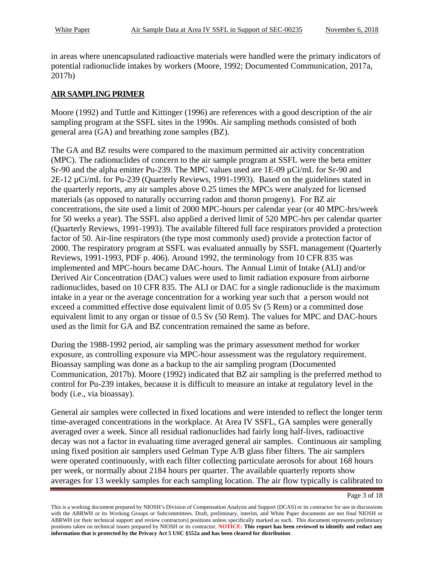in areas where unencapsulated radioactive materials were handled were the primary indicators of potential radionuclide intakes by workers (Moore, 1992; Documented Communication, 2017a, 2017b)

### **AIR SAMPLING PRIMER**

Moore (1992) and Tuttle and Kittinger (1996) are references with a good description of the air sampling program at the SSFL sites in the 1990s. Air sampling methods consisted of both general area (GA) and breathing zone samples (BZ).

The GA and BZ results were compared to the maximum permitted air activity concentration (MPC). The radionuclides of concern to the air sample program at SSFL were the beta emitter Sr-90 and the alpha emitter Pu-239. The MPC values used are 1E-09  $\mu$ Ci/mL for Sr-90 and 2E-12 µCi/mL for Pu-239 (Quarterly Reviews, 1991-1993). Based on the guidelines stated in the quarterly reports, any air samples above 0.25 times the MPCs were analyzed for licensed materials (as opposed to naturally occurring radon and thoron progeny). For BZ air concentrations, the site used a limit of 2000 MPC-hours per calendar year (or 40 MPC-hrs/week for 50 weeks a year). The SSFL also applied a derived limit of 520 MPC-hrs per calendar quarter (Quarterly Reviews, 1991-1993). The available filtered full face respirators provided a protection factor of 50. Air-line respirators (the type most commonly used) provide a protection factor of 2000. The respiratory program at SSFL was evaluated annually by SSFL management (Quarterly Reviews, 1991-1993, PDF p. 406). Around 1992, the terminology from 10 CFR 835 was implemented and MPC-hours became DAC-hours. The Annual Limit of Intake (ALI) and/or Derived Air Concentration (DAC) values were used to limit radiation exposure from airborne radionuclides, based on 10 CFR 835. The ALI or DAC for a single radionuclide is the maximum intake in a year or the average concentration for a working year such that a person would not exceed a committed effective dose equivalent limit of 0.05 Sv (5 Rem) or a committed dose equivalent limit to any organ or tissue of 0.5 Sv (50 Rem). The values for MPC and DAC-hours used as the limit for GA and BZ concentration remained the same as before.

During the 1988-1992 period, air sampling was the primary assessment method for worker exposure, as controlling exposure via MPC-hour assessment was the regulatory requirement. Bioassay sampling was done as a backup to the air sampling program (Documented Communication, 2017b). Moore (1992) indicated that BZ air sampling is the preferred method to control for Pu-239 intakes, because it is difficult to measure an intake at regulatory level in the body (i.e., via bioassay).

General air samples were collected in fixed locations and were intended to reflect the longer term time-averaged concentrations in the workplace. At Area IV SSFL, GA samples were generally averaged over a week. Since all residual radionuclides had fairly long half-lives, radioactive decay was not a factor in evaluating time averaged general air samples. Continuous air sampling using fixed position air samplers used Gelman Type A/B glass fiber filters. The air samplers were operated continuously, with each filter collecting particulate aerosols for about 168 hours per week, or normally about 2184 hours per quarter. The available quarterly reports show averages for 13 weekly samples for each sampling location. The air flow typically is calibrated to

Page 3 of 18

This is a working document prepared by NIOSH's Division of Compensation Analysis and Support (DCAS) or its contractor for use in discussions with the ABRWH or its Working Groups or Subcommittees. Draft, preliminary, interim, and White Paper documents are not final NIOSH or ABRWH (or their technical support and review contractors) positions unless specifically marked as such. This document represents preliminary positions taken on technical issues prepared by NIOSH or its contractor. **NOTICE: This report has been reviewed to identify and redact any information that is protected by the Privacy Act 5 USC §552a and has been cleared for distribution**.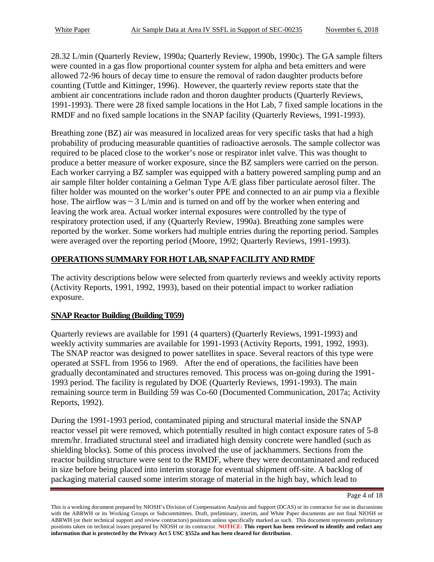28.32 L/min (Quarterly Review, 1990a; Quarterly Review, 1990b, 1990c). The GA sample filters were counted in a gas flow proportional counter system for alpha and beta emitters and were allowed 72-96 hours of decay time to ensure the removal of radon daughter products before counting (Tuttle and Kittinger, 1996). However, the quarterly review reports state that the ambient air concentrations include radon and thoron daughter products (Quarterly Reviews, 1991-1993). There were 28 fixed sample locations in the Hot Lab, 7 fixed sample locations in the RMDF and no fixed sample locations in the SNAP facility (Quarterly Reviews, 1991-1993).

Breathing zone (BZ) air was measured in localized areas for very specific tasks that had a high probability of producing measurable quantities of radioactive aerosols. The sample collector was required to be placed close to the worker's nose or respirator inlet valve. This was thought to produce a better measure of worker exposure, since the BZ samplers were carried on the person. Each worker carrying a BZ sampler was equipped with a battery powered sampling pump and an air sample filter holder containing a Gelman Type A/E glass fiber particulate aerosol filter. The filter holder was mounted on the worker's outer PPE and connected to an air pump via a flexible hose. The airflow was  $\sim 3$  L/min and is turned on and off by the worker when entering and leaving the work area. Actual worker internal exposures were controlled by the type of respiratory protection used, if any (Quarterly Review, 1990a). Breathing zone samples were reported by the worker. Some workers had multiple entries during the reporting period. Samples were averaged over the reporting period (Moore, 1992; Quarterly Reviews, 1991-1993).

# **OPERATIONS SUMMARY FOR HOT LAB, SNAP FACILITY AND RMDF**

The activity descriptions below were selected from quarterly reviews and weekly activity reports (Activity Reports, 1991, 1992, 1993), based on their potential impact to worker radiation exposure.

# **SNAP Reactor Building (Building T059)**

Quarterly reviews are available for 1991 (4 quarters) (Quarterly Reviews, 1991-1993) and weekly activity summaries are available for 1991-1993 (Activity Reports, 1991, 1992, 1993). The SNAP reactor was designed to power satellites in space. Several reactors of this type were operated at SSFL from 1956 to 1969. After the end of operations, the facilities have been gradually decontaminated and structures removed. This process was on-going during the 1991- 1993 period. The facility is regulated by DOE (Quarterly Reviews, 1991-1993). The main remaining source term in Building 59 was Co-60 (Documented Communication, 2017a; Activity Reports, 1992).

During the 1991-1993 period, contaminated piping and structural material inside the SNAP reactor vessel pit were removed, which potentially resulted in high contact exposure rates of 5-8 mrem/hr. Irradiated structural steel and irradiated high density concrete were handled (such as shielding blocks). Some of this process involved the use of jackhammers. Sections from the reactor building structure were sent to the RMDF, where they were decontaminated and reduced in size before being placed into interim storage for eventual shipment off-site. A backlog of packaging material caused some interim storage of material in the high bay, which lead to

Page 4 of 18

This is a working document prepared by NIOSH's Division of Compensation Analysis and Support (DCAS) or its contractor for use in discussions with the ABRWH or its Working Groups or Subcommittees. Draft, preliminary, interim, and White Paper documents are not final NIOSH or ABRWH (or their technical support and review contractors) positions unless specifically marked as such. This document represents preliminary positions taken on technical issues prepared by NIOSH or its contractor. **NOTICE: This report has been reviewed to identify and redact any information that is protected by the Privacy Act 5 USC §552a and has been cleared for distribution**.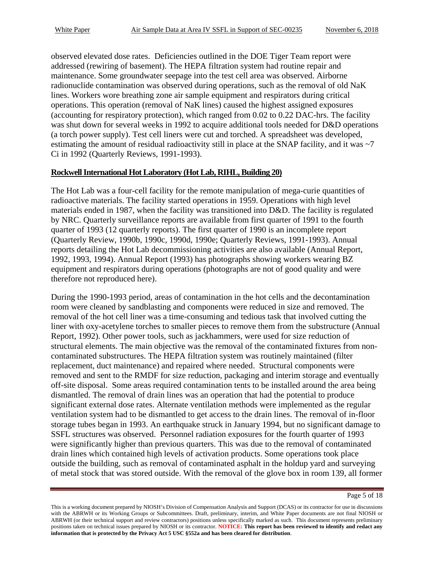observed elevated dose rates. Deficiencies outlined in the DOE Tiger Team report were addressed (rewiring of basement). The HEPA filtration system had routine repair and maintenance. Some groundwater seepage into the test cell area was observed. Airborne radionuclide contamination was observed during operations, such as the removal of old NaK lines. Workers wore breathing zone air sample equipment and respirators during critical operations. This operation (removal of NaK lines) caused the highest assigned exposures (accounting for respiratory protection), which ranged from 0.02 to 0.22 DAC-hrs. The facility was shut down for several weeks in 1992 to acquire additional tools needed for D&D operations (a torch power supply). Test cell liners were cut and torched. A spreadsheet was developed, estimating the amount of residual radioactivity still in place at the SNAP facility, and it was  $\sim$ 7 Ci in 1992 (Quarterly Reviews, 1991-1993).

#### **Rockwell International Hot Laboratory (Hot Lab, RIHL, Building 20)**

The Hot Lab was a four-cell facility for the remote manipulation of mega-curie quantities of radioactive materials. The facility started operations in 1959. Operations with high level materials ended in 1987, when the facility was transitioned into D&D. The facility is regulated by NRC. Quarterly surveillance reports are available from first quarter of 1991 to the fourth quarter of 1993 (12 quarterly reports). The first quarter of 1990 is an incomplete report (Quarterly Review, 1990b, 1990c, 1990d, 1990e; Quarterly Reviews, 1991-1993). Annual reports detailing the Hot Lab decommissioning activities are also available (Annual Report, 1992, 1993, 1994). Annual Report (1993) has photographs showing workers wearing BZ equipment and respirators during operations (photographs are not of good quality and were therefore not reproduced here).

During the 1990-1993 period, areas of contamination in the hot cells and the decontamination room were cleaned by sandblasting and components were reduced in size and removed. The removal of the hot cell liner was a time-consuming and tedious task that involved cutting the liner with oxy-acetylene torches to smaller pieces to remove them from the substructure (Annual Report, 1992). Other power tools, such as jackhammers, were used for size reduction of structural elements. The main objective was the removal of the contaminated fixtures from noncontaminated substructures. The HEPA filtration system was routinely maintained (filter replacement, duct maintenance) and repaired where needed. Structural components were removed and sent to the RMDF for size reduction, packaging and interim storage and eventually off-site disposal. Some areas required contamination tents to be installed around the area being dismantled. The removal of drain lines was an operation that had the potential to produce significant external dose rates. Alternate ventilation methods were implemented as the regular ventilation system had to be dismantled to get access to the drain lines. The removal of in-floor storage tubes began in 1993. An earthquake struck in January 1994, but no significant damage to SSFL structures was observed. Personnel radiation exposures for the fourth quarter of 1993 were significantly higher than previous quarters. This was due to the removal of contaminated drain lines which contained high levels of activation products. Some operations took place outside the building, such as removal of contaminated asphalt in the holdup yard and surveying of metal stock that was stored outside. With the removal of the glove box in room 139, all former

Page 5 of 18

This is a working document prepared by NIOSH's Division of Compensation Analysis and Support (DCAS) or its contractor for use in discussions with the ABRWH or its Working Groups or Subcommittees. Draft, preliminary, interim, and White Paper documents are not final NIOSH or ABRWH (or their technical support and review contractors) positions unless specifically marked as such. This document represents preliminary positions taken on technical issues prepared by NIOSH or its contractor. **NOTICE: This report has been reviewed to identify and redact any information that is protected by the Privacy Act 5 USC §552a and has been cleared for distribution**.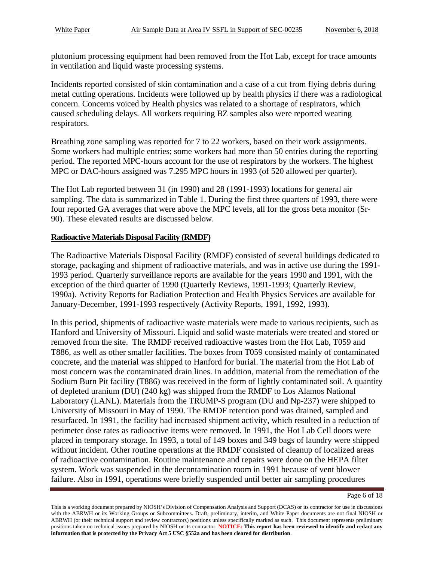plutonium processing equipment had been removed from the Hot Lab, except for trace amounts in ventilation and liquid waste processing systems.

Incidents reported consisted of skin contamination and a case of a cut from flying debris during metal cutting operations. Incidents were followed up by health physics if there was a radiological concern. Concerns voiced by Health physics was related to a shortage of respirators, which caused scheduling delays. All workers requiring BZ samples also were reported wearing respirators.

Breathing zone sampling was reported for 7 to 22 workers, based on their work assignments. Some workers had multiple entries; some workers had more than 50 entries during the reporting period. The reported MPC-hours account for the use of respirators by the workers. The highest MPC or DAC-hours assigned was 7.295 MPC hours in 1993 (of 520 allowed per quarter).

The Hot Lab reported between 31 (in 1990) and 28 (1991-1993) locations for general air sampling. The data is summarized in Table 1. During the first three quarters of 1993, there were four reported GA averages that were above the MPC levels, all for the gross beta monitor (Sr-90). These elevated results are discussed below.

#### **Radioactive Materials Disposal Facility (RMDF)**

The Radioactive Materials Disposal Facility (RMDF) consisted of several buildings dedicated to storage, packaging and shipment of radioactive materials, and was in active use during the 1991- 1993 period. Quarterly surveillance reports are available for the years 1990 and 1991, with the exception of the third quarter of 1990 (Quarterly Reviews, 1991-1993; Quarterly Review, 1990a). Activity Reports for Radiation Protection and Health Physics Services are available for January-December, 1991-1993 respectively (Activity Reports, 1991, 1992, 1993).

In this period, shipments of radioactive waste materials were made to various recipients, such as Hanford and University of Missouri. Liquid and solid waste materials were treated and stored or removed from the site. The RMDF received radioactive wastes from the Hot Lab, T059 and T886, as well as other smaller facilities. The boxes from T059 consisted mainly of contaminated concrete, and the material was shipped to Hanford for burial. The material from the Hot Lab of most concern was the contaminated drain lines. In addition, material from the remediation of the Sodium Burn Pit facility (T886) was received in the form of lightly contaminated soil. A quantity of depleted uranium (DU) (240 kg) was shipped from the RMDF to Los Alamos National Laboratory (LANL). Materials from the TRUMP-S program (DU and Np-237) were shipped to University of Missouri in May of 1990. The RMDF retention pond was drained, sampled and resurfaced. In 1991, the facility had increased shipment activity, which resulted in a reduction of perimeter dose rates as radioactive items were removed. In 1991, the Hot Lab Cell doors were placed in temporary storage. In 1993, a total of 149 boxes and 349 bags of laundry were shipped without incident. Other routine operations at the RMDF consisted of cleanup of localized areas of radioactive contamination. Routine maintenance and repairs were done on the HEPA filter system. Work was suspended in the decontamination room in 1991 because of vent blower failure. Also in 1991, operations were briefly suspended until better air sampling procedures

Page 6 of 18

This is a working document prepared by NIOSH's Division of Compensation Analysis and Support (DCAS) or its contractor for use in discussions with the ABRWH or its Working Groups or Subcommittees. Draft, preliminary, interim, and White Paper documents are not final NIOSH or ABRWH (or their technical support and review contractors) positions unless specifically marked as such. This document represents preliminary positions taken on technical issues prepared by NIOSH or its contractor. **NOTICE: This report has been reviewed to identify and redact any information that is protected by the Privacy Act 5 USC §552a and has been cleared for distribution**.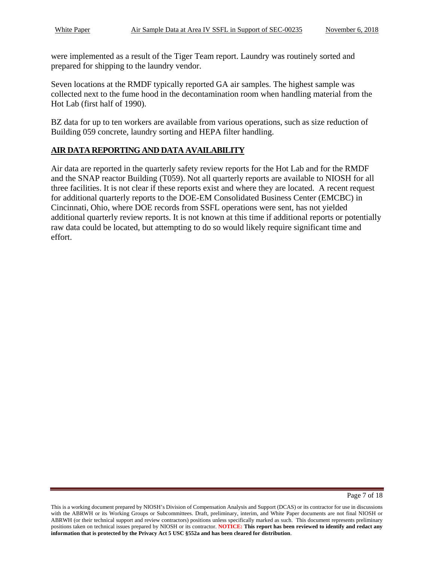were implemented as a result of the Tiger Team report. Laundry was routinely sorted and prepared for shipping to the laundry vendor.

Seven locations at the RMDF typically reported GA air samples. The highest sample was collected next to the fume hood in the decontamination room when handling material from the Hot Lab (first half of 1990).

BZ data for up to ten workers are available from various operations, such as size reduction of Building 059 concrete, laundry sorting and HEPA filter handling.

#### **AIR DATA REPORTING AND DATA AVAILABILITY**

Air data are reported in the quarterly safety review reports for the Hot Lab and for the RMDF and the SNAP reactor Building (T059). Not all quarterly reports are available to NIOSH for all three facilities. It is not clear if these reports exist and where they are located. A recent request for additional quarterly reports to the DOE-EM Consolidated Business Center (EMCBC) in Cincinnati, Ohio, where DOE records from SSFL operations were sent, has not yielded additional quarterly review reports. It is not known at this time if additional reports or potentially raw data could be located, but attempting to do so would likely require significant time and effort.

This is a working document prepared by NIOSH's Division of Compensation Analysis and Support (DCAS) or its contractor for use in discussions with the ABRWH or its Working Groups or Subcommittees. Draft, preliminary, interim, and White Paper documents are not final NIOSH or ABRWH (or their technical support and review contractors) positions unless specifically marked as such. This document represents preliminary positions taken on technical issues prepared by NIOSH or its contractor. **NOTICE: This report has been reviewed to identify and redact any information that is protected by the Privacy Act 5 USC §552a and has been cleared for distribution**.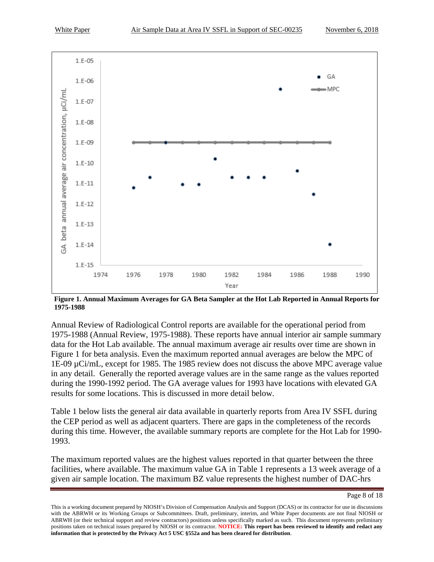



**Figure 1. Annual Maximum Averages for GA Beta Sampler at the Hot Lab Reported in Annual Reports for 1975-1988**

Annual Review of Radiological Control reports are available for the operational period from 1975-1988 (Annual Review, 1975-1988). These reports have annual interior air sample summary data for the Hot Lab available. The annual maximum average air results over time are shown in Figure 1 for beta analysis. Even the maximum reported annual averages are below the MPC of 1E-09 µCi/mL, except for 1985. The 1985 review does not discuss the above MPC average value in any detail. Generally the reported average values are in the same range as the values reported during the 1990-1992 period. The GA average values for 1993 have locations with elevated GA results for some locations. This is discussed in more detail below.

Table 1 below lists the general air data available in quarterly reports from Area IV SSFL during the CEP period as well as adjacent quarters. There are gaps in the completeness of the records during this time. However, the available summary reports are complete for the Hot Lab for 1990- 1993.

The maximum reported values are the highest values reported in that quarter between the three facilities, where available. The maximum value GA in Table 1 represents a 13 week average of a given air sample location. The maximum BZ value represents the highest number of DAC-hrs

Page 8 of 18

This is a working document prepared by NIOSH's Division of Compensation Analysis and Support (DCAS) or its contractor for use in discussions with the ABRWH or its Working Groups or Subcommittees. Draft, preliminary, interim, and White Paper documents are not final NIOSH or ABRWH (or their technical support and review contractors) positions unless specifically marked as such. This document represents preliminary positions taken on technical issues prepared by NIOSH or its contractor. **NOTICE: This report has been reviewed to identify and redact any information that is protected by the Privacy Act 5 USC §552a and has been cleared for distribution**.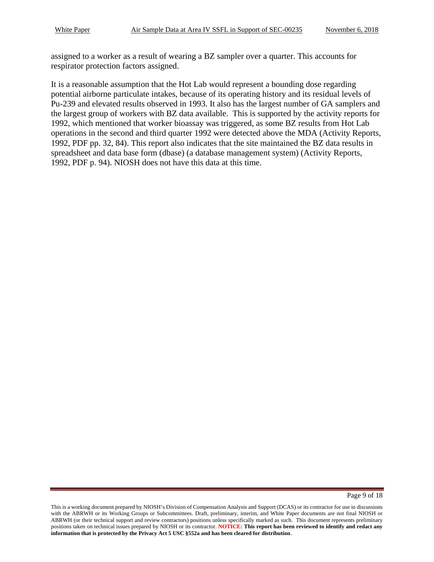assigned to a worker as a result of wearing a BZ sampler over a quarter. This accounts for respirator protection factors assigned.

It is a reasonable assumption that the Hot Lab would represent a bounding dose regarding potential airborne particulate intakes, because of its operating history and its residual levels of Pu-239 and elevated results observed in 1993. It also has the largest number of GA samplers and the largest group of workers with BZ data available. This is supported by the activity reports for 1992, which mentioned that worker bioassay was triggered, as some BZ results from Hot Lab operations in the second and third quarter 1992 were detected above the MDA (Activity Reports, 1992, PDF pp. 32, 84). This report also indicates that the site maintained the BZ data results in spreadsheet and data base form (dbase) (a database management system) (Activity Reports, 1992, PDF p. 94). NIOSH does not have this data at this time.

This is a working document prepared by NIOSH's Division of Compensation Analysis and Support (DCAS) or its contractor for use in discussions with the ABRWH or its Working Groups or Subcommittees. Draft, preliminary, interim, and White Paper documents are not final NIOSH or ABRWH (or their technical support and review contractors) positions unless specifically marked as such. This document represents preliminary positions taken on technical issues prepared by NIOSH or its contractor. **NOTICE: This report has been reviewed to identify and redact any information that is protected by the Privacy Act 5 USC §552a and has been cleared for distribution**.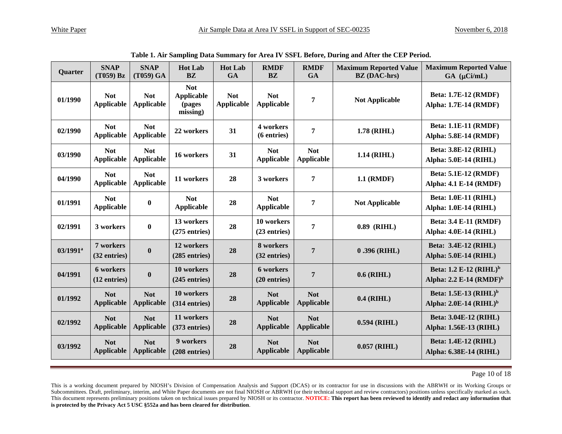| Quarter                | <b>SNAP</b><br>$(T059)$ Bz      | <b>SNAP</b><br>(T059) GA        | <b>Hot Lab</b><br><b>BZ</b>                           | <b>Hot Lab</b><br>GA            | <b>RMDF</b><br><b>BZ</b>        | <b>RMDF</b><br><b>GA</b>        | <b>Maximum Reported Value</b><br><b>BZ</b> (DAC-hrs) | <b>Maximum Reported Value</b><br>$GA$ ( $\mu$ Ci/mL)                      |
|------------------------|---------------------------------|---------------------------------|-------------------------------------------------------|---------------------------------|---------------------------------|---------------------------------|------------------------------------------------------|---------------------------------------------------------------------------|
| 01/1990                | <b>Not</b><br><b>Applicable</b> | <b>Not</b><br><b>Applicable</b> | <b>Not</b><br><b>Applicable</b><br>(pages<br>missing) | <b>Not</b><br><b>Applicable</b> | <b>Not</b><br><b>Applicable</b> | 7                               | <b>Not Applicable</b>                                | <b>Beta: 1.7E-12 (RMDF)</b><br>Alpha: 1.7E-14 (RMDF)                      |
| 02/1990                | <b>Not</b><br><b>Applicable</b> | <b>Not</b><br><b>Applicable</b> | 22 workers                                            | 31                              | 4 workers<br>(6 entries)        | 7                               | 1.78 (RIHL)                                          | <b>Beta: 1.1E-11 (RMDF)</b><br>Alpha: 5.8E-14 (RMDF)                      |
| 03/1990                | <b>Not</b><br><b>Applicable</b> | <b>Not</b><br><b>Applicable</b> | 16 workers                                            | 31                              | <b>Not</b><br><b>Applicable</b> | <b>Not</b><br>Applicable        | 1.14 (RIHL)                                          | <b>Beta: 3.8E-12 (RIHL)</b><br><b>Alpha: 5.0E-14 (RIHL)</b>               |
| 04/1990                | <b>Not</b><br><b>Applicable</b> | <b>Not</b><br><b>Applicable</b> | 11 workers                                            | 28                              | 3 workers                       | 7                               | 1.1 (RMDF)                                           | <b>Beta: 5.1E-12 (RMDF)</b><br><b>Alpha: 4.1 E-14 (RMDF)</b>              |
| 01/1991                | <b>Not</b><br><b>Applicable</b> | $\boldsymbol{0}$                | <b>Not</b><br><b>Applicable</b>                       | 28                              | <b>Not</b><br><b>Applicable</b> | 7                               | <b>Not Applicable</b>                                | <b>Beta: 1.0E-11 (RIHL)</b><br><b>Alpha: 1.0E-14 (RIHL)</b>               |
| 02/1991                | 3 workers                       | $\bf{0}$                        | 13 workers<br>$(275$ entries)                         | 28                              | 10 workers<br>(23 entries)      | 7                               | $0.89$ (RIHL)                                        | <b>Beta: 3.4 E-11 (RMDF)</b><br><b>Alpha: 4.0E-14 (RIHL)</b>              |
| $03/1991$ <sup>a</sup> | 7 workers<br>$(32$ entries)     | $\boldsymbol{0}$                | 12 workers<br>$(285$ entries)                         | 28                              | 8 workers<br>(32 entries)       | $\overline{7}$                  | $0.396$ (RIHL)                                       | <b>Beta: 3.4E-12 (RIHL)</b><br><b>Alpha: 5.0E-14 (RIHL)</b>               |
| 04/1991                | 6 workers<br>$(12$ entries)     | $\boldsymbol{0}$                | 10 workers<br>$(245$ entries)                         | 28                              | 6 workers<br>$(20$ entries)     | $\overline{7}$                  | $0.6$ (RIHL)                                         | Beta: 1.2 E-12 (RIHL) <sup>b</sup><br>Alpha: 2.2 E-14 (RMDF) <sup>b</sup> |
| 01/1992                | <b>Not</b><br><b>Applicable</b> | <b>Not</b><br><b>Applicable</b> | 10 workers<br>(314 entries)                           | 28                              | <b>Not</b><br><b>Applicable</b> | <b>Not</b><br><b>Applicable</b> | $0.4$ (RIHL)                                         | Beta: 1.5E-13 (RIHL) <sup>b</sup><br>Alpha: $2.0E-14$ (RIHL) <sup>b</sup> |
| 02/1992                | <b>Not</b><br><b>Applicable</b> | <b>Not</b><br><b>Applicable</b> | 11 workers<br>(373 entries)                           | 28                              | <b>Not</b><br><b>Applicable</b> | <b>Not</b><br>Applicable        | $0.594$ (RIHL)                                       | Beta: 3.04E-12 (RIHL)<br>Alpha: 1.56E-13 (RIHL)                           |
| 03/1992                | <b>Not</b><br><b>Applicable</b> | <b>Not</b><br><b>Applicable</b> | 9 workers<br>(208 entries)                            | 28                              | <b>Not</b><br><b>Applicable</b> | <b>Not</b><br>Applicable        | $0.057$ (RIHL)                                       | <b>Beta: 1.4E-12 (RIHL)</b><br>Alpha: 6.38E-14 (RIHL)                     |

**Table 1. Air Sampling Data Summary for Area IV SSFL Before, During and After the CEP Period.**

Page 10 of 18

This is a working document prepared by NIOSH's Division of Compensation Analysis and Support (DCAS) or its contractor for use in discussions with the ABRWH or its Working Groups or Subcommittees. Draft, preliminary, interim, and White Paper documents are not final NIOSH or ABRWH (or their technical support and review contractors) positions unless specifically marked as such. This document represents preliminary positions taken on technical issues prepared by NIOSH or its contractor. **NOTICE: This report has been reviewed to identify and redact any information that is protected by the Privacy Act 5 USC §552a and has been cleared for distribution**.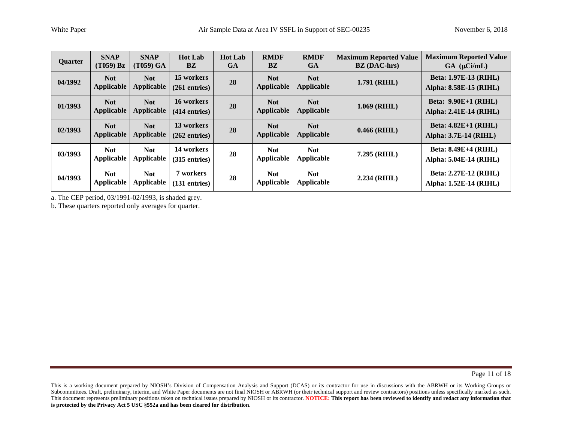| Quarter | <b>SNAP</b><br>$(T059)$ Bz      | <b>SNAP</b><br>(T059) GA        | <b>Hot Lab</b><br><b>BZ</b>   | <b>Hot Lab</b><br><b>GA</b> | <b>RMDF</b><br><b>BZ</b> | <b>RMDF</b><br><b>GA</b>        | <b>Maximum Reported Value</b><br><b>BZ</b> (DAC-hrs) | <b>Maximum Reported Value</b><br>$GA$ ( $\mu$ Ci/mL)        |
|---------|---------------------------------|---------------------------------|-------------------------------|-----------------------------|--------------------------|---------------------------------|------------------------------------------------------|-------------------------------------------------------------|
| 04/1992 | <b>Not</b><br><b>Applicable</b> | <b>Not</b><br><b>Applicable</b> | 15 workers<br>$(261$ entries) | 28                          | <b>Not</b><br>Applicable | <b>Not</b><br>Applicable        | $1.791$ (RIHL)                                       | <b>Beta: 1.97E-13 (RIHL)</b><br>Alpha: 8.58E-15 (RIHL)      |
| 01/1993 | <b>Not</b><br><b>Applicable</b> | <b>Not</b><br><b>Applicable</b> | 16 workers<br>$(414$ entries) | 28                          | <b>Not</b><br>Applicable | <b>Not</b><br><b>Applicable</b> | $1.069$ (RIHL)                                       | <b>Beta: 9.90E+1 (RIHL)</b><br>Alpha: 2.41E-14 (RIHL)       |
| 02/1993 | <b>Not</b><br><b>Applicable</b> | <b>Not</b><br><b>Applicable</b> | 13 workers<br>$(262$ entries) | 28                          | <b>Not</b><br>Applicable | <b>Not</b><br><b>Applicable</b> | $0.466$ (RIHL)                                       | <b>Beta: 4.82E+1 (RIHL)</b><br><b>Alpha: 3.7E-14 (RIHL)</b> |
| 03/1993 | <b>Not</b><br><b>Applicable</b> | <b>Not</b><br><b>Applicable</b> | 14 workers<br>$(315$ entries) | 28                          | <b>Not</b><br>Applicable | <b>Not</b><br>Applicable        | 7.295 (RIHL)                                         | <b>Beta: 8.49E+4 (RIHL)</b><br>Alpha: 5.04E-14 (RIHL)       |
| 04/1993 | <b>Not</b><br><b>Applicable</b> | <b>Not</b><br><b>Applicable</b> | 7 workers<br>$(131$ entries)  | 28                          | <b>Not</b><br>Applicable | <b>Not</b><br>Applicable        | $2.234$ (RIHL)                                       | <b>Beta: 2.27E-12 (RIHL)</b><br>Alpha: 1.52E-14 (RIHL)      |

a. The CEP period, 03/1991-02/1993, is shaded grey.

b. These quarters reported only averages for quarter.

Page 11 of 18

This is a working document prepared by NIOSH's Division of Compensation Analysis and Support (DCAS) or its contractor for use in discussions with the ABRWH or its Working Groups or Subcommittees. Draft, preliminary, interim, and White Paper documents are not final NIOSH or ABRWH (or their technical support and review contractors) positions unless specifically marked as such. This document represents preliminary positions taken on technical issues prepared by NIOSH or its contractor. **NOTICE: This report has been reviewed to identify and redact any information that is protected by the Privacy Act 5 USC §552a and has been cleared for distribution**.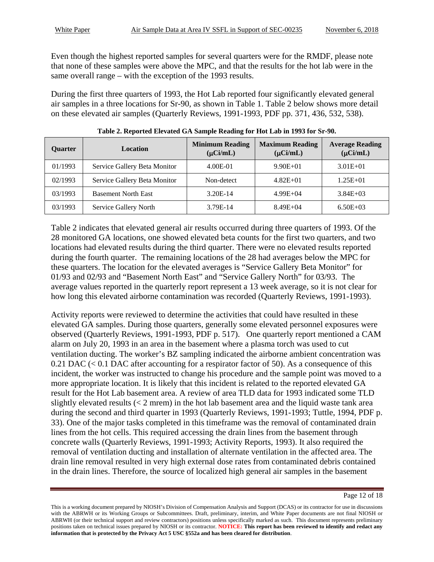Even though the highest reported samples for several quarters were for the RMDF, please note that none of these samples were above the MPC, and that the results for the hot lab were in the same overall range – with the exception of the 1993 results.

During the first three quarters of 1993, the Hot Lab reported four significantly elevated general air samples in a three locations for Sr-90, as shown in Table 1. Table 2 below shows more detail on these elevated air samples (Quarterly Reviews, 1991-1993, PDF pp. 371, 436, 532, 538).

| <b>Ouarter</b> | <b>Location</b>              | <b>Minimum Reading</b><br>$(\mu$ Ci/mL) | <b>Maximum Reading</b><br>$(\mu$ Ci/mL) | <b>Average Reading</b><br>$(\mu$ Ci/mL) |
|----------------|------------------------------|-----------------------------------------|-----------------------------------------|-----------------------------------------|
| 01/1993        | Service Gallery Beta Monitor | 4.00E-01                                | $9.90E + 01$                            | $3.01E + 01$                            |
| 02/1993        | Service Gallery Beta Monitor | Non-detect                              | $4.82E + 01$                            | $1.25E + 01$                            |
| 03/1993        | <b>Basement North East</b>   | 3.20E-14                                | $4.99E + 04$                            | $3.84E + 03$                            |
| 03/1993        | Service Gallery North        | 3.79E-14                                | $8.49E + 04$                            | $6.50E + 03$                            |

**Table 2. Reported Elevated GA Sample Reading for Hot Lab in 1993 for Sr-90.** 

Table 2 indicates that elevated general air results occurred during three quarters of 1993. Of the 28 monitored GA locations, one showed elevated beta counts for the first two quarters, and two locations had elevated results during the third quarter. There were no elevated results reported during the fourth quarter. The remaining locations of the 28 had averages below the MPC for these quarters. The location for the elevated averages is "Service Gallery Beta Monitor" for 01/93 and 02/93 and "Basement North East" and "Service Gallery North" for 03/93. The average values reported in the quarterly report represent a 13 week average, so it is not clear for how long this elevated airborne contamination was recorded (Quarterly Reviews, 1991-1993).

Activity reports were reviewed to determine the activities that could have resulted in these elevated GA samples. During those quarters, generally some elevated personnel exposures were observed (Quarterly Reviews, 1991-1993, PDF p. 517). One quarterly report mentioned a CAM alarm on July 20, 1993 in an area in the basement where a plasma torch was used to cut ventilation ducting. The worker's BZ sampling indicated the airborne ambient concentration was  $0.21$  DAC (< 0.1 DAC after accounting for a respirator factor of 50). As a consequence of this incident, the worker was instructed to change his procedure and the sample point was moved to a more appropriate location. It is likely that this incident is related to the reported elevated GA result for the Hot Lab basement area. A review of area TLD data for 1993 indicated some TLD slightly elevated results  $(< 2$  mrem) in the hot lab basement area and the liquid waste tank area during the second and third quarter in 1993 (Quarterly Reviews, 1991-1993; Tuttle, 1994, PDF p. 33). One of the major tasks completed in this timeframe was the removal of contaminated drain lines from the hot cells. This required accessing the drain lines from the basement through concrete walls (Quarterly Reviews, 1991-1993; Activity Reports, 1993). It also required the removal of ventilation ducting and installation of alternate ventilation in the affected area. The drain line removal resulted in very high external dose rates from contaminated debris contained in the drain lines. Therefore, the source of localized high general air samples in the basement

Page 12 of 18

This is a working document prepared by NIOSH's Division of Compensation Analysis and Support (DCAS) or its contractor for use in discussions with the ABRWH or its Working Groups or Subcommittees. Draft, preliminary, interim, and White Paper documents are not final NIOSH or ABRWH (or their technical support and review contractors) positions unless specifically marked as such. This document represents preliminary positions taken on technical issues prepared by NIOSH or its contractor. **NOTICE: This report has been reviewed to identify and redact any information that is protected by the Privacy Act 5 USC §552a and has been cleared for distribution**.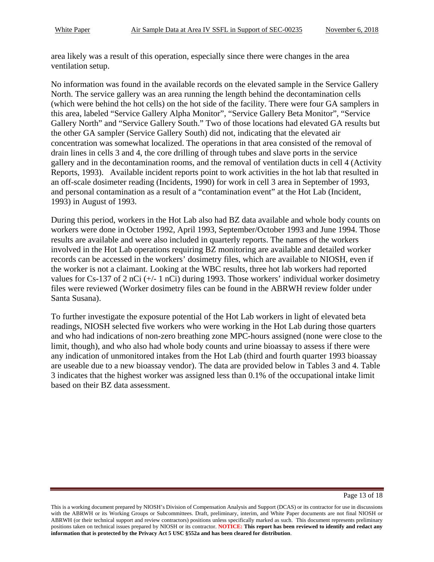area likely was a result of this operation, especially since there were changes in the area ventilation setup.

No information was found in the available records on the elevated sample in the Service Gallery North. The service gallery was an area running the length behind the decontamination cells (which were behind the hot cells) on the hot side of the facility. There were four GA samplers in this area, labeled "Service Gallery Alpha Monitor", "Service Gallery Beta Monitor", "Service Gallery North" and "Service Gallery South." Two of those locations had elevated GA results but the other GA sampler (Service Gallery South) did not, indicating that the elevated air concentration was somewhat localized. The operations in that area consisted of the removal of drain lines in cells 3 and 4, the core drilling of through tubes and slave ports in the service gallery and in the decontamination rooms, and the removal of ventilation ducts in cell 4 (Activity Reports, 1993). Available incident reports point to work activities in the hot lab that resulted in an off-scale dosimeter reading (Incidents, 1990) for work in cell 3 area in September of 1993, and personal contamination as a result of a "contamination event" at the Hot Lab (Incident, 1993) in August of 1993.

During this period, workers in the Hot Lab also had BZ data available and whole body counts on workers were done in October 1992, April 1993, September/October 1993 and June 1994. Those results are available and were also included in quarterly reports. The names of the workers involved in the Hot Lab operations requiring BZ monitoring are available and detailed worker records can be accessed in the workers' dosimetry files, which are available to NIOSH, even if the worker is not a claimant. Looking at the WBC results, three hot lab workers had reported values for Cs-137 of 2 nCi (+/- 1 nCi) during 1993. Those workers' individual worker dosimetry files were reviewed (Worker dosimetry files can be found in the ABRWH review folder under Santa Susana).

To further investigate the exposure potential of the Hot Lab workers in light of elevated beta readings, NIOSH selected five workers who were working in the Hot Lab during those quarters and who had indications of non-zero breathing zone MPC-hours assigned (none were close to the limit, though), and who also had whole body counts and urine bioassay to assess if there were any indication of unmonitored intakes from the Hot Lab (third and fourth quarter 1993 bioassay are useable due to a new bioassay vendor). The data are provided below in Tables 3 and 4. Table 3 indicates that the highest worker was assigned less than 0.1% of the occupational intake limit based on their BZ data assessment.

Page 13 of 18

This is a working document prepared by NIOSH's Division of Compensation Analysis and Support (DCAS) or its contractor for use in discussions with the ABRWH or its Working Groups or Subcommittees. Draft, preliminary, interim, and White Paper documents are not final NIOSH or ABRWH (or their technical support and review contractors) positions unless specifically marked as such. This document represents preliminary positions taken on technical issues prepared by NIOSH or its contractor. **NOTICE: This report has been reviewed to identify and redact any information that is protected by the Privacy Act 5 USC §552a and has been cleared for distribution**.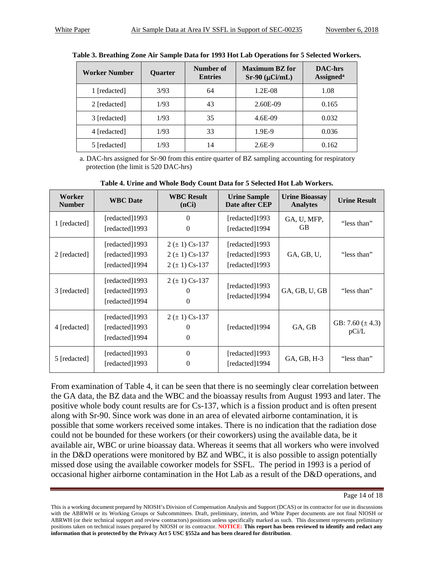| Worker Number | <b>Ouarter</b> | Number of<br><b>Entries</b> | <b>Maximum BZ</b> for<br>$Sr-90$ ( $\mu$ Ci/mL) | <b>DAC-hrs</b><br><b>Assigned</b> <sup>a</sup> |
|---------------|----------------|-----------------------------|-------------------------------------------------|------------------------------------------------|
| 1 [redacted]  | 3/93           | 64                          | 1.2E-08                                         | 1.08                                           |
| 2 [redacted]  | 1/93           | 43                          | 2.60E-09                                        | 0.165                                          |
| 3 [redacted]  | 1/93           | 35                          | 4.6E-09                                         | 0.032                                          |
| 4 [redacted]  | 1/93           | 33                          | 1.9E-9                                          | 0.036                                          |
| 5 [redacted]  | 1/93           | 14                          | $2.6E-9$                                        | 0.162                                          |

**Table 3. Breathing Zone Air Sample Data for 1993 Hot Lab Operations for 5 Selected Workers.**

a. DAC-hrs assigned for Sr-90 from this entire quarter of BZ sampling accounting for respiratory protection (the limit is 520 DAC-hrs)

| Worker<br><b>Number</b> | <b>WBC</b> Date                                    | <b>WBC Result</b><br>(nCi)                                     | <b>Urine Sample</b><br>Date after CEP              | <b>Urine Bioassay</b><br><b>Analytes</b> | <b>Urine Result</b>           |
|-------------------------|----------------------------------------------------|----------------------------------------------------------------|----------------------------------------------------|------------------------------------------|-------------------------------|
| 1 [redacted]            | [redacted]1993<br>[redacted]1993                   | $\Omega$<br>$\Omega$                                           | [redacted]1993<br>[redacted]1994                   | GA, U, MFP,<br><b>GB</b>                 | "less than"                   |
| 2 [redacted]            | [redacted]1993<br>[redacted]1993<br>[redacted]1994 | $2 (\pm 1)$ Cs-137<br>$2 (\pm 1)$ Cs-137<br>$2 (\pm 1)$ Cs-137 | [redacted]1993<br>[redacted]1993<br>[redacted]1993 | GA, GB, U,                               | "less than"                   |
| 3 [redacted]            | [redacted]1993<br>[redacted]1993<br>[redacted]1994 | $2 (\pm 1)$ Cs-137<br>$\theta$<br>$\Omega$                     | [redacted]1993<br>[redacted]1994                   | GA, GB, U, GB                            | "less than"                   |
| 4 [redacted]            | [redacted]1993<br>[redacted]1993<br>[redacted]1994 | $2 (\pm 1)$ Cs-137<br>$\theta$<br>$\Omega$                     | [redacted]1994                                     | GA, GB                                   | GB: 7.60 $(\pm 4.3)$<br>pCi/L |
| 5 [redacted]            | [redacted]1993<br>[redacted]1993                   | $\Omega$<br>0                                                  | [redacted]1993<br>[redacted]1994                   | GA, GB, H-3                              | "less than"                   |

**Table 4. Urine and Whole Body Count Data for 5 Selected Hot Lab Workers.** 

From examination of Table 4, it can be seen that there is no seemingly clear correlation between the GA data, the BZ data and the WBC and the bioassay results from August 1993 and later. The positive whole body count results are for Cs-137, which is a fission product and is often present along with Sr-90. Since work was done in an area of elevated airborne contamination, it is possible that some workers received some intakes. There is no indication that the radiation dose could not be bounded for these workers (or their coworkers) using the available data, be it available air, WBC or urine bioassay data. Whereas it seems that all workers who were involved in the D&D operations were monitored by BZ and WBC, it is also possible to assign potentially missed dose using the available coworker models for SSFL. The period in 1993 is a period of occasional higher airborne contamination in the Hot Lab as a result of the D&D operations, and

Page 14 of 18

This is a working document prepared by NIOSH's Division of Compensation Analysis and Support (DCAS) or its contractor for use in discussions with the ABRWH or its Working Groups or Subcommittees. Draft, preliminary, interim, and White Paper documents are not final NIOSH or ABRWH (or their technical support and review contractors) positions unless specifically marked as such. This document represents preliminary positions taken on technical issues prepared by NIOSH or its contractor. **NOTICE: This report has been reviewed to identify and redact any information that is protected by the Privacy Act 5 USC §552a and has been cleared for distribution**.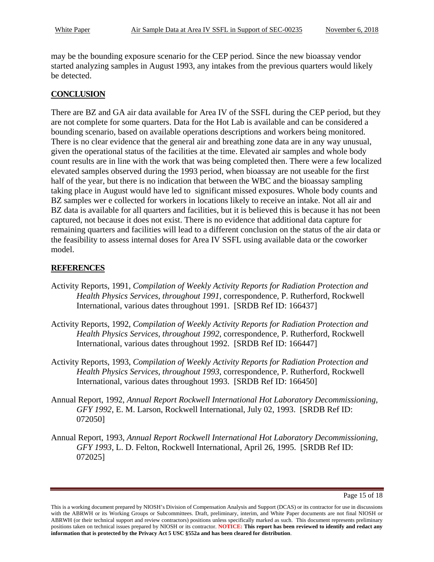may be the bounding exposure scenario for the CEP period. Since the new bioassay vendor started analyzing samples in August 1993, any intakes from the previous quarters would likely be detected.

#### **CONCLUSION**

There are BZ and GA air data available for Area IV of the SSFL during the CEP period, but they are not complete for some quarters. Data for the Hot Lab is available and can be considered a bounding scenario, based on available operations descriptions and workers being monitored. There is no clear evidence that the general air and breathing zone data are in any way unusual, given the operational status of the facilities at the time. Elevated air samples and whole body count results are in line with the work that was being completed then. There were a few localized elevated samples observed during the 1993 period, when bioassay are not useable for the first half of the year, but there is no indication that between the WBC and the bioassay sampling taking place in August would have led to significant missed exposures. Whole body counts and BZ samples wer e collected for workers in locations likely to receive an intake. Not all air and BZ data is available for all quarters and facilities, but it is believed this is because it has not been captured, not because it does not exist. There is no evidence that additional data capture for remaining quarters and facilities will lead to a different conclusion on the status of the air data or the feasibility to assess internal doses for Area IV SSFL using available data or the coworker model.

#### **REFERENCES**

- Activity Reports, 1991, *Compilation of Weekly Activity Reports for Radiation Protection and Health Physics Services, throughout 1991*, correspondence, P. Rutherford, Rockwell International, various dates throughout 1991. [SRDB Ref ID: 166437]
- Activity Reports, 1992, *Compilation of Weekly Activity Reports for Radiation Protection and Health Physics Services, throughout 1992*, correspondence, P. Rutherford, Rockwell International, various dates throughout 1992. [SRDB Ref ID: 166447]
- Activity Reports, 1993, *Compilation of Weekly Activity Reports for Radiation Protection and Health Physics Services, throughout 1993*, correspondence, P. Rutherford, Rockwell International, various dates throughout 1993. [SRDB Ref ID: 166450]
- Annual Report, 1992, *Annual Report Rockwell International Hot Laboratory Decommissioning, GFY 1992*, E. M. Larson, Rockwell International, July 02, 1993. [SRDB Ref ID: 072050]
- Annual Report, 1993, *Annual Report Rockwell International Hot Laboratory Decommissioning, GFY 1993*, L. D. Felton, Rockwell International, April 26, 1995. [SRDB Ref ID: 072025]

Page 15 of 18

This is a working document prepared by NIOSH's Division of Compensation Analysis and Support (DCAS) or its contractor for use in discussions with the ABRWH or its Working Groups or Subcommittees. Draft, preliminary, interim, and White Paper documents are not final NIOSH or ABRWH (or their technical support and review contractors) positions unless specifically marked as such. This document represents preliminary positions taken on technical issues prepared by NIOSH or its contractor. **NOTICE: This report has been reviewed to identify and redact any information that is protected by the Privacy Act 5 USC §552a and has been cleared for distribution**.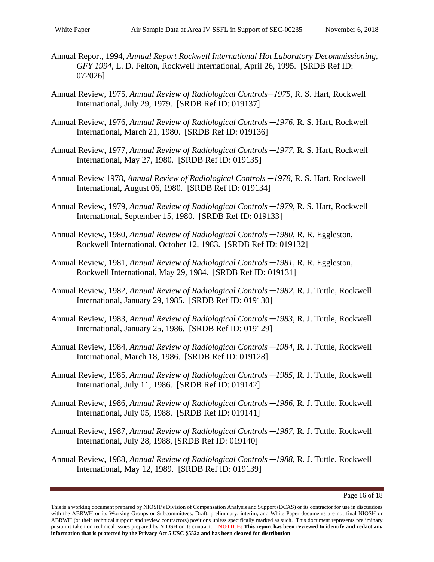- Annual Report, 1994, *Annual Report Rockwell International Hot Laboratory Decommissioning, GFY 1994*, L. D. Felton, Rockwell International, April 26, 1995. [SRDB Ref ID: 072026]
- Annual Review, 1975, *Annual Review of Radiological Controls─1975*, R. S. Hart, Rockwell International, July 29, 1979. [SRDB Ref ID: 019137]
- Annual Review, 1976, *Annual Review of Radiological Controls ─1976*, R. S. Hart, Rockwell International, March 21, 1980. [SRDB Ref ID: 019136]
- Annual Review, 1977, *Annual Review of Radiological Controls ─1977*, R. S. Hart, Rockwell International, May 27, 1980. [SRDB Ref ID: 019135]
- Annual Review 1978, *Annual Review of Radiological Controls ─1978*, R. S. Hart, Rockwell International, August 06, 1980. [SRDB Ref ID: 019134]
- Annual Review, 1979, *Annual Review of Radiological Controls ─1979*, R. S. Hart, Rockwell International, September 15, 1980. [SRDB Ref ID: 019133]
- Annual Review, 1980, *Annual Review of Radiological Controls ─1980*, R. R. Eggleston, Rockwell International, October 12, 1983. [SRDB Ref ID: 019132]
- Annual Review, 1981, *Annual Review of Radiological Controls ─1981*, R. R. Eggleston, Rockwell International, May 29, 1984. [SRDB Ref ID: 019131]
- Annual Review, 1982, *Annual Review of Radiological Controls ─1982*, R. J. Tuttle, Rockwell International, January 29, 1985. [SRDB Ref ID: 019130]
- Annual Review, 1983, *Annual Review of Radiological Controls ─1983*, R. J. Tuttle, Rockwell International, January 25, 1986. [SRDB Ref ID: 019129]
- Annual Review, 1984, *Annual Review of Radiological Controls ─1984*, R. J. Tuttle, Rockwell International, March 18, 1986. [SRDB Ref ID: 019128]
- Annual Review, 1985, *Annual Review of Radiological Controls ─1985*, R. J. Tuttle, Rockwell International, July 11, 1986. [SRDB Ref ID: 019142]
- Annual Review, 1986, *Annual Review of Radiological Controls ─1986*, R. J. Tuttle, Rockwell International, July 05, 1988. [SRDB Ref ID: 019141]
- Annual Review, 1987, *Annual Review of Radiological Controls ─1987*, R. J. Tuttle, Rockwell International, July 28, 1988, [SRDB Ref ID: 019140]
- Annual Review, 1988, *Annual Review of Radiological Controls ─1988*, R. J. Tuttle, Rockwell International, May 12, 1989. [SRDB Ref ID: 019139]

This is a working document prepared by NIOSH's Division of Compensation Analysis and Support (DCAS) or its contractor for use in discussions with the ABRWH or its Working Groups or Subcommittees. Draft, preliminary, interim, and White Paper documents are not final NIOSH or ABRWH (or their technical support and review contractors) positions unless specifically marked as such. This document represents preliminary positions taken on technical issues prepared by NIOSH or its contractor. **NOTICE: This report has been reviewed to identify and redact any information that is protected by the Privacy Act 5 USC §552a and has been cleared for distribution**.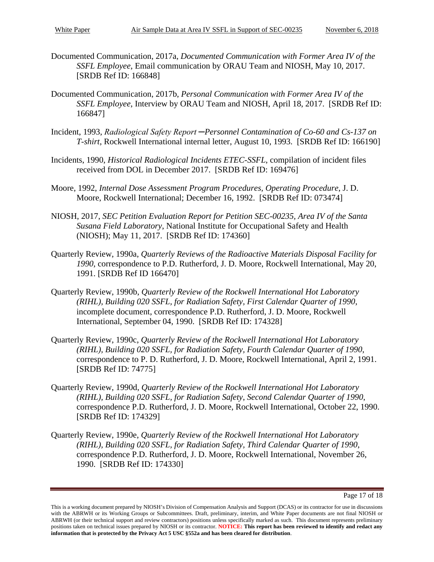- Documented Communication, 2017a, *Documented Communication with Former Area IV of the SSFL Employee*, Email communication by ORAU Team and NIOSH, May 10, 2017. [SRDB Ref ID: 166848]
- Documented Communication, 2017b, *Personal Communication with Former Area IV of the SSFL Employee*, Interview by ORAU Team and NIOSH, April 18, 2017. [SRDB Ref ID: 166847]
- Incident, 1993, *Radiological Safety Report ─Personnel Contamination of Co-60 and Cs-137 on T-shirt*, Rockwell International internal letter, August 10, 1993. [SRDB Ref ID: 166190]
- Incidents, 1990, *Historical Radiological Incidents ETEC-SSFL*, compilation of incident files received from DOL in December 2017. [SRDB Ref ID: 169476]
- Moore, 1992, *Internal Dose Assessment Program Procedures, Operating Procedure*, J. D. Moore, Rockwell International; December 16, 1992. [SRDB Ref ID: 073474]
- NIOSH, 2017, *SEC Petition Evaluation Report for Petition SEC-00235, Area IV of the Santa Susana Field Laboratory*, National Institute for Occupational Safety and Health (NIOSH); May 11, 2017. [SRDB Ref ID: 174360]
- Quarterly Review, 1990a, *Quarterly Reviews of the Radioactive Materials Disposal Facility for 1990*, correspondence to P.D. Rutherford, J. D. Moore, Rockwell International, May 20, 1991. [SRDB Ref ID 166470]
- Quarterly Review, 1990b, *Quarterly Review of the Rockwell International Hot Laboratory (RIHL), Building 020 SSFL, for Radiation Safety, First Calendar Quarter of 1990*, incomplete document, correspondence P.D. Rutherford, J. D. Moore, Rockwell International, September 04, 1990. [SRDB Ref ID: 174328]
- Quarterly Review, 1990c, *Quarterly Review of the Rockwell International Hot Laboratory (RIHL), Building 020 SSFL, for Radiation Safety, Fourth Calendar Quarter of 1990*, correspondence to P. D. Rutherford, J. D. Moore, Rockwell International, April 2, 1991. [SRDB Ref ID: 74775]
- Quarterly Review, 1990d, *Quarterly Review of the Rockwell International Hot Laboratory (RIHL), Building 020 SSFL, for Radiation Safety*, *Second Calendar Quarter of 1990*, correspondence P.D. Rutherford, J. D. Moore, Rockwell International, October 22, 1990. [SRDB Ref ID: 174329]
- Quarterly Review, 1990e, *Quarterly Review of the Rockwell International Hot Laboratory (RIHL), Building 020 SSFL, for Radiation Safety, Third Calendar Quarter of 1990*, correspondence P.D. Rutherford, J. D. Moore, Rockwell International, November 26, 1990. [SRDB Ref ID: 174330]

Page 17 of 18

This is a working document prepared by NIOSH's Division of Compensation Analysis and Support (DCAS) or its contractor for use in discussions with the ABRWH or its Working Groups or Subcommittees. Draft, preliminary, interim, and White Paper documents are not final NIOSH or ABRWH (or their technical support and review contractors) positions unless specifically marked as such. This document represents preliminary positions taken on technical issues prepared by NIOSH or its contractor. **NOTICE: This report has been reviewed to identify and redact any information that is protected by the Privacy Act 5 USC §552a and has been cleared for distribution**.